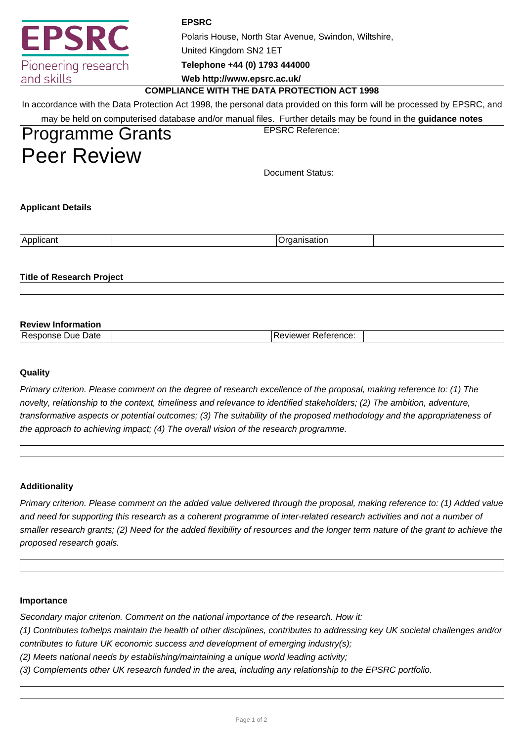|                                  | <b>EPSRC</b>                                                                                                             |  |  |  |  |  |  |
|----------------------------------|--------------------------------------------------------------------------------------------------------------------------|--|--|--|--|--|--|
| <b>EPSRC</b>                     | Polaris House, North Star Avenue, Swindon, Wiltshire,                                                                    |  |  |  |  |  |  |
|                                  | United Kingdom SN2 1ET                                                                                                   |  |  |  |  |  |  |
| Pioneering research              | Telephone +44 (0) 1793 444000                                                                                            |  |  |  |  |  |  |
| and skills                       | Web http://www.epsrc.ac.uk/                                                                                              |  |  |  |  |  |  |
|                                  | <b>COMPLIANCE WITH THE DATA PROTECTION ACT 1998</b>                                                                      |  |  |  |  |  |  |
|                                  | In accordance with the Data Protection Act 1998, the personal data provided on this form will be processed by EPSRC, and |  |  |  |  |  |  |
|                                  | may be held on computerised database and/or manual files. Further details may be found in the guidance notes             |  |  |  |  |  |  |
| <b>Programme Grants</b>          | <b>EPSRC Reference:</b>                                                                                                  |  |  |  |  |  |  |
| <b>Peer Review</b>               |                                                                                                                          |  |  |  |  |  |  |
|                                  | Document Status:                                                                                                         |  |  |  |  |  |  |
| <b>Applicant Details</b>         |                                                                                                                          |  |  |  |  |  |  |
| Applicant                        | Organisation                                                                                                             |  |  |  |  |  |  |
| <b>Title of Research Project</b> |                                                                                                                          |  |  |  |  |  |  |

| <b>Review Information</b>            |                         |  |
|--------------------------------------|-------------------------|--|
| ∍<br>Due Date<br><b>PAS</b><br>ponse | * Reference:<br>eviewer |  |

# **Quality**

Primary criterion. Please comment on the degree of research excellence of the proposal, making reference to: (1) The novelty, relationship to the context, timeliness and relevance to identified stakeholders; (2) The ambition, adventure, transformative aspects or potential outcomes; (3) The suitability of the proposed methodology and the appropriateness of the approach to achieving impact; (4) The overall vision of the research programme.

## **Additionality**

Primary criterion. Please comment on the added value delivered through the proposal, making reference to: (1) Added value and need for supporting this research as a coherent programme of inter-related research activities and not a number of smaller research grants; (2) Need for the added flexibility of resources and the longer term nature of the grant to achieve the proposed research goals.

## **Importance**

Secondary major criterion. Comment on the national importance of the research. How it:

(1) Contributes to/helps maintain the health of other disciplines, contributes to addressing key UK societal challenges and/or contributes to future UK economic success and development of emerging industry(s);

(2) Meets national needs by establishing/maintaining a unique world leading activity;

(3) Complements other UK research funded in the area, including any relationship to the EPSRC portfolio.